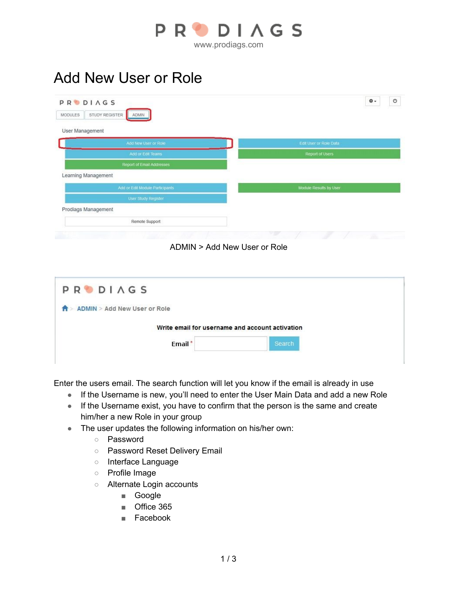

## Add New User or Role

| User Management                 |                        |
|---------------------------------|------------------------|
| Add New User or Role            | Edit User or Role Data |
| Add or Edit Teams               | Report of Users        |
| Report of Email Addresses       |                        |
| Learning Management             |                        |
| Add or Edit Module Participants | Module Results by User |
| User Study Register             |                        |
| Prodiags Management             |                        |
| Remote Support                  |                        |
|                                 | <b>STEP</b><br>冻       |

| Write email for username and account activation |
|-------------------------------------------------|
| Search                                          |
|                                                 |

Enter the users email. The search function will let you know if the email is already in use

- If the Username is new, you'll need to enter the User Main Data and add a new Role
- If the Username exist, you have to confirm that the person is the same and create him/her a new Role in your group
- The user updates the following information on his/her own:
	- Password
	- Password Reset Delivery Email
	- Interface Language
	- Profile Image
	- Alternate Login accounts
		- Google
		- Office 365
		- Facebook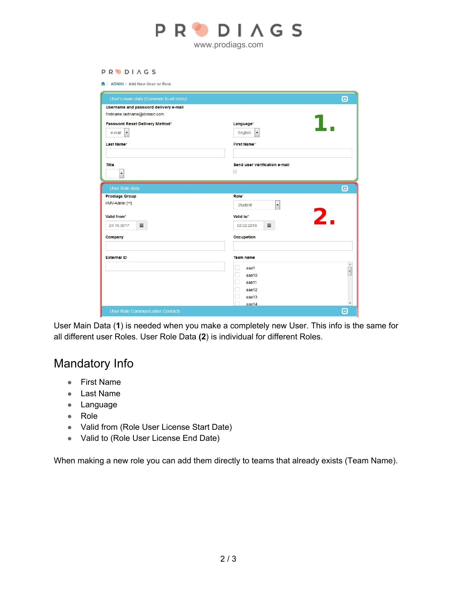

## **PRODIAGS**

 $\hat{\mathbf{B}}$  > ADMIN > Add New User or Role

| Username and password delivery e-mail |                                     |                                                                |
|---------------------------------------|-------------------------------------|----------------------------------------------------------------|
| firstname.lastname@domain.com         |                                     |                                                                |
| Password Reset Delivery Method*       | Language*                           |                                                                |
| $\blacktriangledown$<br>e-mail        | English<br>$\blacktriangledown$     |                                                                |
| Last Name*                            | <b>First Name*</b>                  |                                                                |
| Title                                 | Send user verification e-mail       |                                                                |
| $\blacktriangledown$                  | $\mathcal{J}$                       |                                                                |
| <b>User Role data</b>                 |                                     | $\boldsymbol{\Theta}$                                          |
| <b>Prodiags Group</b>                 | Role*                               |                                                                |
| HMV-Admin [∞]                         | $\overline{\phantom{a}}$<br>Student |                                                                |
| Valid from*                           | Valid to*                           | 2.                                                             |
| iii<br>24.10.2017                     | iii<br>02.02.2018                   |                                                                |
| Company                               | Occupation                          |                                                                |
| <b>External ID</b>                    | <b>Team name</b>                    |                                                                |
|                                       | aaa1<br>m                           | $\begin{array}{c}\n\bullet \\ \bullet \\ \bullet\n\end{array}$ |
|                                       | n<br>aaa10                          |                                                                |
|                                       | □<br>aaa11<br>П<br>aaa12            |                                                                |
|                                       | n<br>aaa13                          |                                                                |
|                                       | aaa14                               |                                                                |

User Main Data (**1**) is needed when you make a completely new User. This info is the same for all different user Roles. User Role Data **(2**) is individual for different Roles.

## Mandatory Info

- First Name
- Last Name
- Language
- Role
- Valid from (Role User License Start Date)
- Valid to (Role User License End Date)

When making a new role you can add them directly to teams that already exists (Team Name).